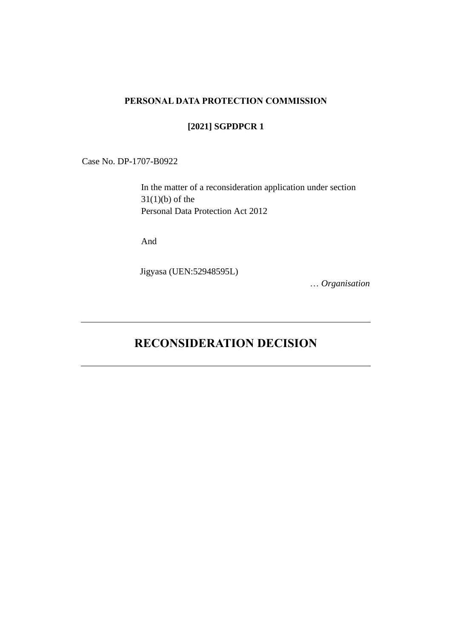#### **PERSONAL DATA PROTECTION COMMISSION**

## **[2021] SGPDPCR 1**

Case No. DP-1707-B0922

In the matter of a reconsideration application under section  $31(1)(b)$  of the Personal Data Protection Act 2012

And

Jigyasa (UEN:52948595L)

… *Organisation*

# **RECONSIDERATION DECISION**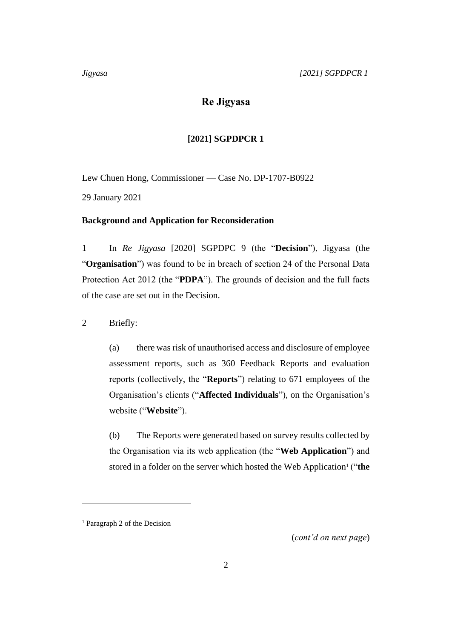# **Re Jigyasa**

### **[2021] SGPDPCR 1**

Lew Chuen Hong, Commissioner — Case No. DP-1707-B0922 29 January 2021

### **Background and Application for Reconsideration**

1 In *Re Jigyasa* [2020] SGPDPC 9 (the "**Decision**"), Jigyasa (the "**Organisation**") was found to be in breach of section 24 of the Personal Data Protection Act 2012 (the "**PDPA**"). The grounds of decision and the full facts of the case are set out in the Decision.

2 Briefly:

(a) there was risk of unauthorised access and disclosure of employee assessment reports, such as 360 Feedback Reports and evaluation reports (collectively, the "**Reports**") relating to 671 employees of the Organisation's clients ("**Affected Individuals**"), on the Organisation's website ("**Website**").

(b) The Reports were generated based on survey results collected by the Organisation via its web application (the "**Web Application**") and stored in a folder on the server which hosted the Web Application<sup>1</sup> ("the

(*cont'd on next page*)

<sup>1</sup> Paragraph 2 of the Decision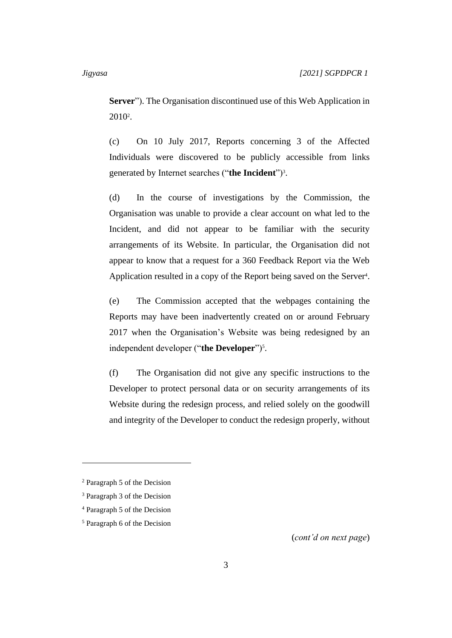**Server**"). The Organisation discontinued use of this Web Application in 2010<sup>2</sup> .

(c) On 10 July 2017, Reports concerning 3 of the Affected Individuals were discovered to be publicly accessible from links generated by Internet searches ("the Incident")<sup>3</sup>.

(d) In the course of investigations by the Commission, the Organisation was unable to provide a clear account on what led to the Incident, and did not appear to be familiar with the security arrangements of its Website. In particular, the Organisation did not appear to know that a request for a 360 Feedback Report via the Web Application resulted in a copy of the Report being saved on the Server<sup>4</sup>.

(e) The Commission accepted that the webpages containing the Reports may have been inadvertently created on or around February 2017 when the Organisation's Website was being redesigned by an independent developer ("the Developer")<sup>5</sup>.

(f) The Organisation did not give any specific instructions to the Developer to protect personal data or on security arrangements of its Website during the redesign process, and relied solely on the goodwill and integrity of the Developer to conduct the redesign properly, without

(*cont'd on next page*)

<sup>2</sup> Paragraph 5 of the Decision

<sup>3</sup> Paragraph 3 of the Decision

<sup>4</sup> Paragraph 5 of the Decision

<sup>5</sup> Paragraph 6 of the Decision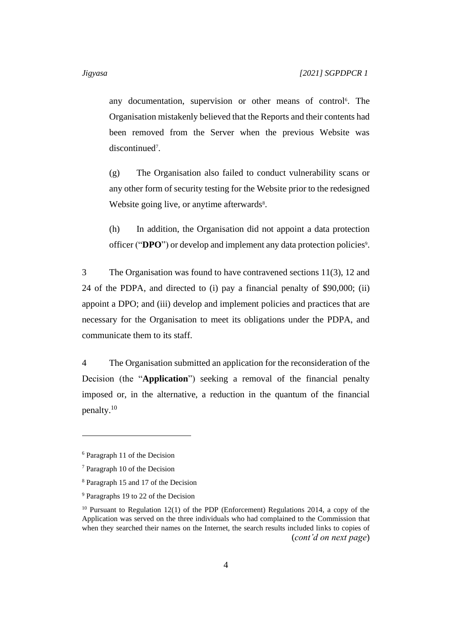any documentation, supervision or other means of control<sup>6</sup>. The Organisation mistakenly believed that the Reports and their contents had been removed from the Server when the previous Website was discontinued<sup>7</sup>.

(g) The Organisation also failed to conduct vulnerability scans or any other form of security testing for the Website prior to the redesigned Website going live, or anytime afterwards<sup>8</sup>.

(h) In addition, the Organisation did not appoint a data protection officer ("DPO") or develop and implement any data protection policies<sup>9</sup>.

3 The Organisation was found to have contravened sections 11(3), 12 and 24 of the PDPA, and directed to (i) pay a financial penalty of \$90,000; (ii) appoint a DPO; and (iii) develop and implement policies and practices that are necessary for the Organisation to meet its obligations under the PDPA, and communicate them to its staff.

4 The Organisation submitted an application for the reconsideration of the Decision (the "**Application**") seeking a removal of the financial penalty imposed or, in the alternative, a reduction in the quantum of the financial penalty.<sup>10</sup>

<sup>6</sup> Paragraph 11 of the Decision

<sup>7</sup> Paragraph 10 of the Decision

<sup>8</sup> Paragraph 15 and 17 of the Decision

<sup>9</sup> Paragraphs 19 to 22 of the Decision

 $10$  Pursuant to Regulation 12(1) of the PDP (Enforcement) Regulations 2014, a copy of the Application was served on the three individuals who had complained to the Commission that when they searched their names on the Internet, the search results included links to copies of (*cont'd on next page*)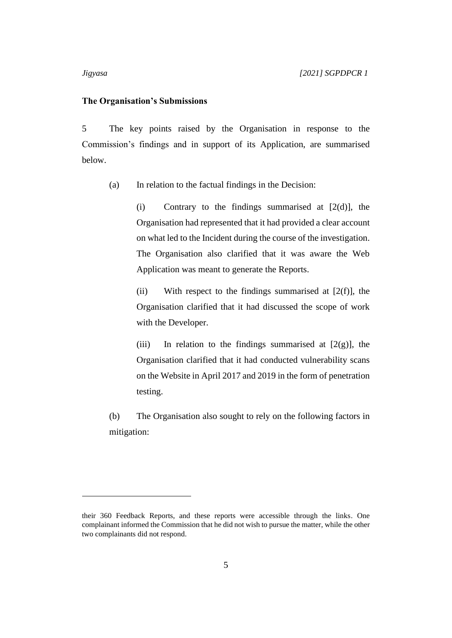#### **The Organisation's Submissions**

5 The key points raised by the Organisation in response to the Commission's findings and in support of its Application, are summarised below.

(a) In relation to the factual findings in the Decision:

(i) Contrary to the findings summarised at  $[2(d)]$ , the Organisation had represented that it had provided a clear account on what led to the Incident during the course of the investigation. The Organisation also clarified that it was aware the Web Application was meant to generate the Reports.

(ii) With respect to the findings summarised at  $[2(f)]$ , the Organisation clarified that it had discussed the scope of work with the Developer.

(iii) In relation to the findings summarised at  $[2(g)]$ , the Organisation clarified that it had conducted vulnerability scans on the Website in April 2017 and 2019 in the form of penetration testing.

(b) The Organisation also sought to rely on the following factors in mitigation:

their 360 Feedback Reports, and these reports were accessible through the links. One complainant informed the Commission that he did not wish to pursue the matter, while the other two complainants did not respond.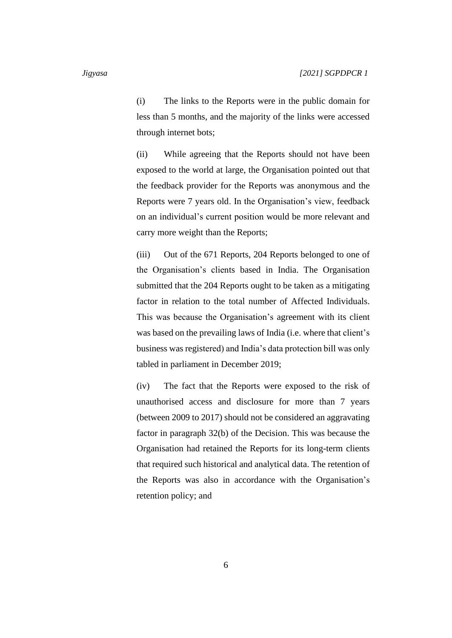(i) The links to the Reports were in the public domain for less than 5 months, and the majority of the links were accessed through internet bots;

(ii) While agreeing that the Reports should not have been exposed to the world at large, the Organisation pointed out that the feedback provider for the Reports was anonymous and the Reports were 7 years old. In the Organisation's view, feedback on an individual's current position would be more relevant and carry more weight than the Reports;

(iii) Out of the 671 Reports, 204 Reports belonged to one of the Organisation's clients based in India. The Organisation submitted that the 204 Reports ought to be taken as a mitigating factor in relation to the total number of Affected Individuals. This was because the Organisation's agreement with its client was based on the prevailing laws of India (i.e. where that client's business was registered) and India's data protection bill was only tabled in parliament in December 2019;

(iv) The fact that the Reports were exposed to the risk of unauthorised access and disclosure for more than 7 years (between 2009 to 2017) should not be considered an aggravating factor in paragraph 32(b) of the Decision. This was because the Organisation had retained the Reports for its long-term clients that required such historical and analytical data. The retention of the Reports was also in accordance with the Organisation's retention policy; and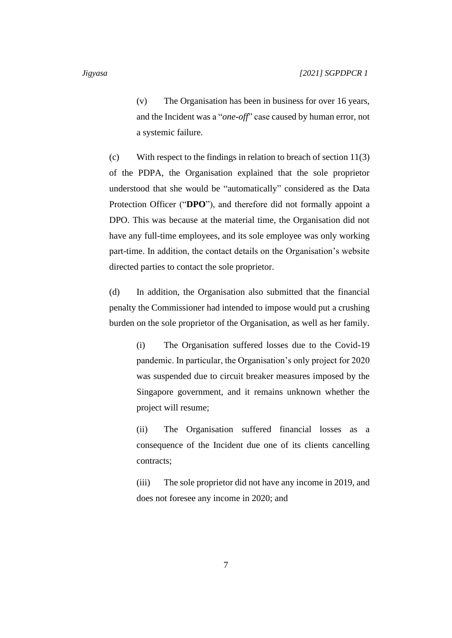(v) The Organisation has been in business for over 16 years, and the Incident was a "*one-off*" case caused by human error, not a systemic failure.

(c) With respect to the findings in relation to breach of section 11(3) of the PDPA, the Organisation explained that the sole proprietor understood that she would be "automatically" considered as the Data Protection Officer ("DPO"), and therefore did not formally appoint a DPO. This was because at the material time, the Organisation did not have any full-time employees, and its sole employee was only working part-time. In addition, the contact details on the Organisation's website directed parties to contact the sole proprietor.

(d) In addition, the Organisation also submitted that the financial penalty the Commissioner had intended to impose would put a crushing burden on the sole proprietor of the Organisation, as well as her family.

> (i) The Organisation suffered losses due to the Covid-19 pandemic. In particular, the Organisation's only project for 2020 was suspended due to circuit breaker measures imposed by the Singapore government, and it remains unknown whether the project will resume;

> (ii) The Organisation suffered financial losses as a consequence of the Incident due one of its clients cancelling contracts;

> (iii) The sole proprietor did not have any income in 2019, and does not foresee any income in 2020; and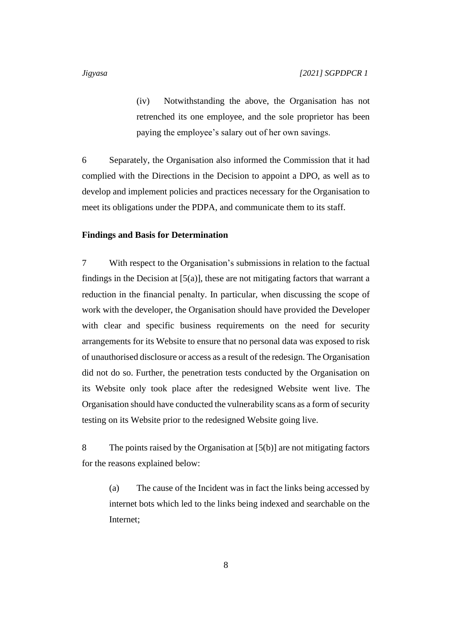(iv) Notwithstanding the above, the Organisation has not retrenched its one employee, and the sole proprietor has been paying the employee's salary out of her own savings.

6 Separately, the Organisation also informed the Commission that it had complied with the Directions in the Decision to appoint a DPO, as well as to develop and implement policies and practices necessary for the Organisation to meet its obligations under the PDPA, and communicate them to its staff.

#### **Findings and Basis for Determination**

7 With respect to the Organisation's submissions in relation to the factual findings in the Decision at  $[5(a)]$ , these are not mitigating factors that warrant a reduction in the financial penalty. In particular, when discussing the scope of work with the developer, the Organisation should have provided the Developer with clear and specific business requirements on the need for security arrangements for its Website to ensure that no personal data was exposed to risk of unauthorised disclosure or access as a result of the redesign. The Organisation did not do so. Further, the penetration tests conducted by the Organisation on its Website only took place after the redesigned Website went live. The Organisation should have conducted the vulnerability scans as a form of security testing on its Website prior to the redesigned Website going live.

8 The points raised by the Organisation at [5(b)] are not mitigating factors for the reasons explained below:

(a) The cause of the Incident was in fact the links being accessed by internet bots which led to the links being indexed and searchable on the Internet;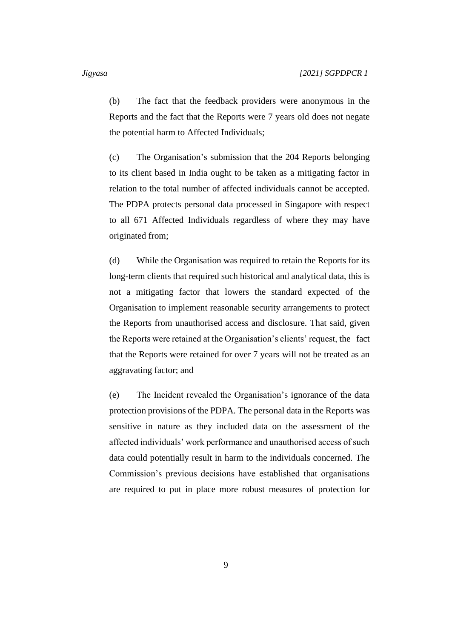(b) The fact that the feedback providers were anonymous in the Reports and the fact that the Reports were 7 years old does not negate the potential harm to Affected Individuals;

(c) The Organisation's submission that the 204 Reports belonging to its client based in India ought to be taken as a mitigating factor in relation to the total number of affected individuals cannot be accepted. The PDPA protects personal data processed in Singapore with respect to all 671 Affected Individuals regardless of where they may have originated from;

(d) While the Organisation was required to retain the Reports for its long-term clients that required such historical and analytical data, this is not a mitigating factor that lowers the standard expected of the Organisation to implement reasonable security arrangements to protect the Reports from unauthorised access and disclosure. That said, given the Reports were retained at the Organisation's clients' request, the fact that the Reports were retained for over 7 years will not be treated as an aggravating factor; and

(e) The Incident revealed the Organisation's ignorance of the data protection provisions of the PDPA. The personal data in the Reports was sensitive in nature as they included data on the assessment of the affected individuals' work performance and unauthorised access of such data could potentially result in harm to the individuals concerned. The Commission's previous decisions have established that organisations are required to put in place more robust measures of protection for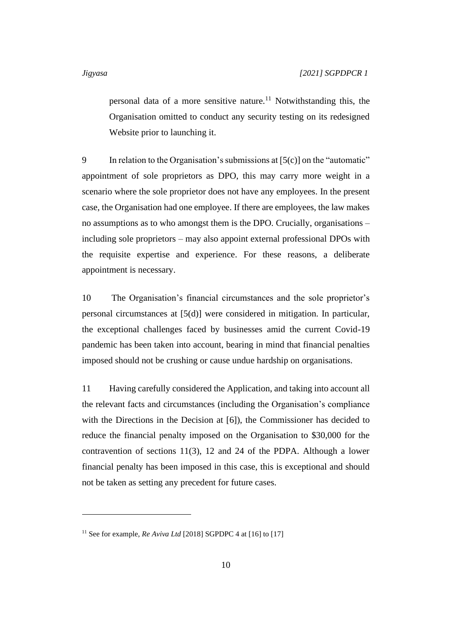personal data of a more sensitive nature.<sup>11</sup> Notwithstanding this, the Organisation omitted to conduct any security testing on its redesigned Website prior to launching it.

9 In relation to the Organisation's submissions at  $[5(c)]$  on the "automatic" appointment of sole proprietors as DPO, this may carry more weight in a scenario where the sole proprietor does not have any employees. In the present case, the Organisation had one employee. If there are employees, the law makes no assumptions as to who amongst them is the DPO. Crucially, organisations – including sole proprietors – may also appoint external professional DPOs with the requisite expertise and experience. For these reasons, a deliberate appointment is necessary.

10 The Organisation's financial circumstances and the sole proprietor's personal circumstances at [5(d)] were considered in mitigation. In particular, the exceptional challenges faced by businesses amid the current Covid-19 pandemic has been taken into account, bearing in mind that financial penalties imposed should not be crushing or cause undue hardship on organisations.

11 Having carefully considered the Application, and taking into account all the relevant facts and circumstances (including the Organisation's compliance with the Directions in the Decision at [6]), the Commissioner has decided to reduce the financial penalty imposed on the Organisation to \$30,000 for the contravention of sections 11(3), 12 and 24 of the PDPA. Although a lower financial penalty has been imposed in this case, this is exceptional and should not be taken as setting any precedent for future cases.

<sup>&</sup>lt;sup>11</sup> See for example, *Re Aviva Ltd* [2018] SGPDPC 4 at [16] to [17]